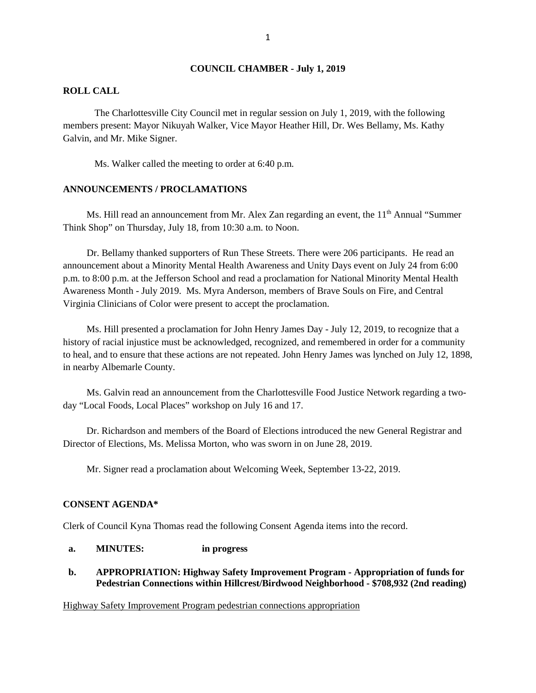#### **COUNCIL CHAMBER - July 1, 2019**

#### **ROLL CALL**

The Charlottesville City Council met in regular session on July 1, 2019, with the following members present: Mayor Nikuyah Walker, Vice Mayor Heather Hill, Dr. Wes Bellamy, Ms. Kathy Galvin, and Mr. Mike Signer.

Ms. Walker called the meeting to order at 6:40 p.m.

#### **ANNOUNCEMENTS / PROCLAMATIONS**

Ms. Hill read an announcement from Mr. Alex Zan regarding an event, the  $11<sup>th</sup>$  Annual "Summer" Think Shop" on Thursday, July 18, from 10:30 a.m. to Noon.

Dr. Bellamy thanked supporters of Run These Streets. There were 206 participants. He read an announcement about a Minority Mental Health Awareness and Unity Days event on July 24 from 6:00 p.m. to 8:00 p.m. at the Jefferson School and read a proclamation for National Minority Mental Health Awareness Month - July 2019. Ms. Myra Anderson, members of Brave Souls on Fire, and Central Virginia Clinicians of Color were present to accept the proclamation.

Ms. Hill presented a proclamation for John Henry James Day - July 12, 2019, to recognize that a history of racial injustice must be acknowledged, recognized, and remembered in order for a community to heal, and to ensure that these actions are not repeated. John Henry James was lynched on July 12, 1898, in nearby Albemarle County.

Ms. Galvin read an announcement from the Charlottesville Food Justice Network regarding a twoday "Local Foods, Local Places" workshop on July 16 and 17.

Dr. Richardson and members of the Board of Elections introduced the new General Registrar and Director of Elections, Ms. Melissa Morton, who was sworn in on June 28, 2019.

Mr. Signer read a proclamation about Welcoming Week, September 13-22, 2019.

### **CONSENT AGENDA\***

Clerk of Council Kyna Thomas read the following Consent Agenda items into the record.

# **a. MINUTES: in progress**

## **b. APPROPRIATION: Highway Safety Improvement Program - Appropriation of funds for Pedestrian Connections within Hillcrest/Birdwood Neighborhood - \$708,932 (2nd reading)**

#### [Highway Safety Improvement Program pedestrian connections appropriation](http://charlottesville.granicus.com/DocumentViewer.php?file=charlottesville_5231e337b341cef1de11c06b70d65f88.pdf)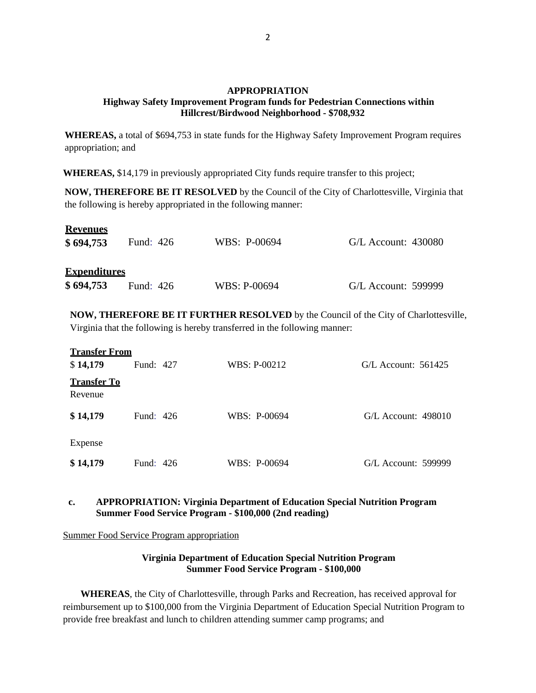## **APPROPRIATION Highway Safety Improvement Program funds for Pedestrian Connections within Hillcrest/Birdwood Neighborhood - \$708,932**

**WHEREAS,** a total of \$694,753 in state funds for the Highway Safety Improvement Program requires appropriation; and

**WHEREAS,** \$14,179 in previously appropriated City funds require transfer to this project;

**NOW, THEREFORE BE IT RESOLVED** by the Council of the City of Charlottesville, Virginia that the following is hereby appropriated in the following manner:

| <b>Revenues</b><br>\$694,753     | Fund: 426 | WBS: P-00694 | $G/L$ Account: 430080 |
|----------------------------------|-----------|--------------|-----------------------|
| <b>Expenditures</b><br>\$694,753 | Fund: 426 | WBS: P-00694 | G/L Account: 599999   |

**NOW, THEREFORE BE IT FURTHER RESOLVED** by the Council of the City of Charlottesville, Virginia that the following is hereby transferred in the following manner:

| <b>Transfer From</b><br>\$14,179 | Fund: 427 | WBS: P-00212 | $G/L$ Account: 561425 |  |
|----------------------------------|-----------|--------------|-----------------------|--|
| <b>Transfer To</b><br>Revenue    |           |              |                       |  |
| \$14,179                         | Fund: 426 | WBS: P-00694 | $G/L$ Account: 498010 |  |
| Expense                          |           |              |                       |  |
| \$14,179                         | Fund: 426 | WBS: P-00694 | G/L Account: 599999   |  |

# **c. APPROPRIATION: Virginia Department of Education Special Nutrition Program Summer Food Service Program - \$100,000 (2nd reading)**

[Summer Food Service Program appropriation](http://charlottesville.granicus.com/DocumentViewer.php?file=charlottesville_945cbad218efc2bcdec1a6fadb449474.pdf)

## **Virginia Department of Education Special Nutrition Program Summer Food Service Program - \$100,000**

**WHEREAS**, the City of Charlottesville, through Parks and Recreation, has received approval for reimbursement up to \$100,000 from the Virginia Department of Education Special Nutrition Program to provide free breakfast and lunch to children attending summer camp programs; and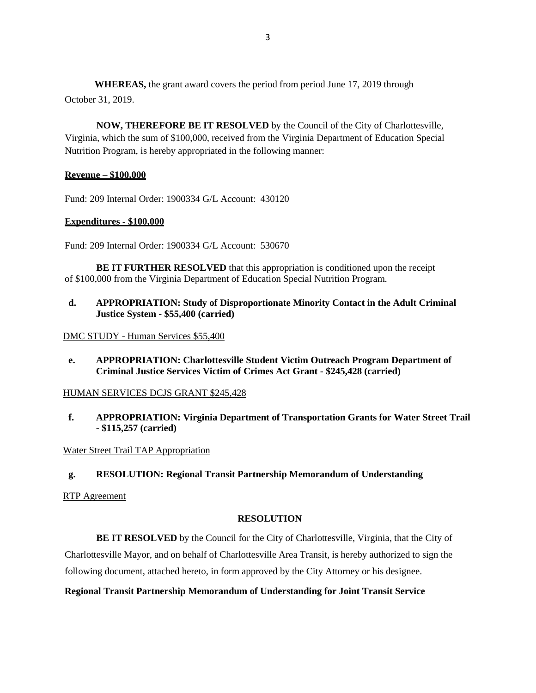**WHEREAS,** the grant award covers the period from period June 17, 2019 through October 31, 2019.

**NOW, THEREFORE BE IT RESOLVED** by the Council of the City of Charlottesville, Virginia, which the sum of \$100,000, received from the Virginia Department of Education Special Nutrition Program, is hereby appropriated in the following manner:

## **Revenue – \$100,000**

Fund: 209 Internal Order: 1900334 G/L Account: 430120

## **Expenditures - \$100,000**

Fund: 209 Internal Order: 1900334 G/L Account: 530670

**BE IT FURTHER RESOLVED** that this appropriation is conditioned upon the receipt of \$100,000 from the Virginia Department of Education Special Nutrition Program.

**d. APPROPRIATION: Study of Disproportionate Minority Contact in the Adult Criminal Justice System - \$55,400 (carried)**

DMC STUDY - [Human Services \\$55,400](http://charlottesville.granicus.com/DocumentViewer.php?file=charlottesville_b4771fde581bd595549615ec2f922405.pdf)

**e. APPROPRIATION: Charlottesville Student Victim Outreach Program Department of Criminal Justice Services Victim of Crimes Act Grant - \$245,428 (carried)**

### [HUMAN SERVICES DCJS GRANT \\$245,428](http://charlottesville.granicus.com/DocumentViewer.php?file=charlottesville_f520629bda5da5c3eaf7e8e3e196b52c.pdf)

**f. APPROPRIATION: Virginia Department of Transportation Grants for Water Street Trail - \$115,257 (carried)**

[Water Street Trail TAP Appropriation](http://charlottesville.granicus.com/DocumentViewer.php?file=charlottesville_b4e79a9c105cb5a18812c26490c2dd7d.pdf)

**g. RESOLUTION: Regional Transit Partnership Memorandum of Understanding**

[RTP Agreement](http://charlottesville.granicus.com/DocumentViewer.php?file=charlottesville_a58a86a73c066d4cb56c0d25be9cf4ee.pdf) 

### **RESOLUTION**

**BE IT RESOLVED** by the Council for the City of Charlottesville, Virginia, that the City of Charlottesville Mayor, and on behalf of Charlottesville Area Transit, is hereby authorized to sign the following document, attached hereto, in form approved by the City Attorney or his designee.

**Regional Transit Partnership Memorandum of Understanding for Joint Transit Service**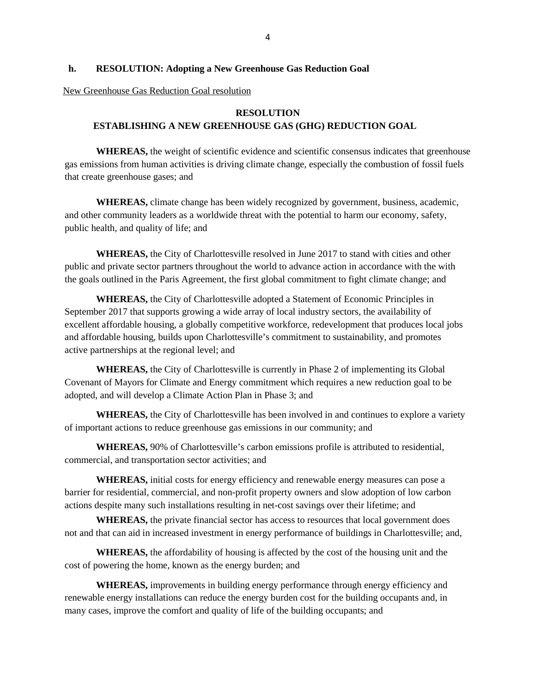### **h. RESOLUTION: Adopting a New Greenhouse Gas Reduction Goal**

#### [New Greenhouse Gas Reduction Goal resolution](http://charlottesville.granicus.com/DocumentViewer.php?file=charlottesville_50ef8b4e808efe5afc81967d300523cd.pdf)

## **RESOLUTION**

# **ESTABLISHING A NEW GREENHOUSE GAS (GHG) REDUCTION GOAL**

**WHEREAS,** the weight of scientific evidence and scientific consensus indicates that greenhouse gas emissions from human activities is driving climate change, especially the combustion of fossil fuels that create greenhouse gases; and

**WHEREAS,** climate change has been widely recognized by government, business, academic, and other community leaders as a worldwide threat with the potential to harm our economy, safety, public health, and quality of life; and

**WHEREAS,** the City of Charlottesville resolved in June 2017 to stand with cities and other public and private sector partners throughout the world to advance action in accordance with the with the goals outlined in the Paris Agreement, the first global commitment to fight climate change; and

**WHEREAS,** the City of Charlottesville adopted a Statement of Economic Principles in September 2017 that supports growing a wide array of local industry sectors, the availability of excellent affordable housing, a globally competitive workforce, redevelopment that produces local jobs and affordable housing, builds upon Charlottesville's commitment to sustainability, and promotes active partnerships at the regional level; and

**WHEREAS,** the City of Charlottesville is currently in Phase 2 of implementing its Global Covenant of Mayors for Climate and Energy commitment which requires a new reduction goal to be adopted, and will develop a Climate Action Plan in Phase 3; and

**WHEREAS,** the City of Charlottesville has been involved in and continues to explore a variety of important actions to reduce greenhouse gas emissions in our community; and

**WHEREAS,** 90% of Charlottesville's carbon emissions profile is attributed to residential, commercial, and transportation sector activities; and

**WHEREAS,** initial costs for energy efficiency and renewable energy measures can pose a barrier for residential, commercial, and non-profit property owners and slow adoption of low carbon actions despite many such installations resulting in net-cost savings over their lifetime; and

**WHEREAS,** the private financial sector has access to resources that local government does not and that can aid in increased investment in energy performance of buildings in Charlottesville; and,

**WHEREAS,** the affordability of housing is affected by the cost of the housing unit and the cost of powering the home, known as the energy burden; and

**WHEREAS,** improvements in building energy performance through energy efficiency and renewable energy installations can reduce the energy burden cost for the building occupants and, in many cases, improve the comfort and quality of life of the building occupants; and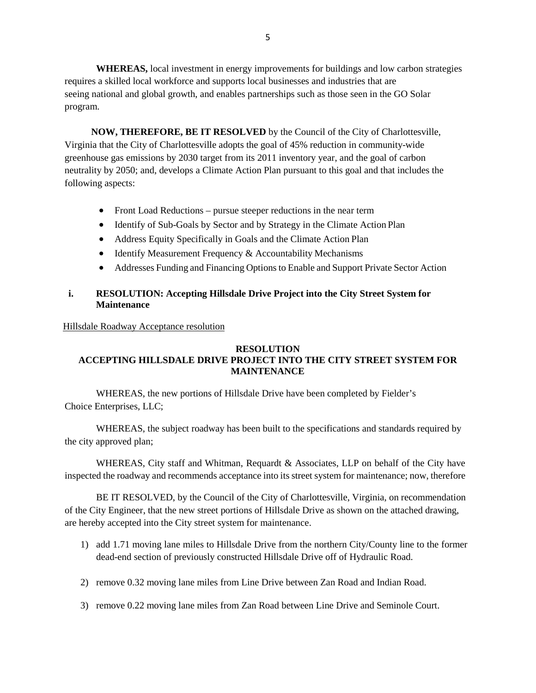**WHEREAS,** local investment in energy improvements for buildings and low carbon strategies requires a skilled local workforce and supports local businesses and industries that are seeing national and global growth, and enables partnerships such as those seen in the GO Solar program.

**NOW, THEREFORE, BE IT RESOLVED** by the Council of the City of Charlottesville, Virginia that the City of Charlottesville adopts the goal of 45% reduction in community-wide greenhouse gas emissions by 2030 target from its 2011 inventory year, and the goal of carbon neutrality by 2050; and, develops a Climate Action Plan pursuant to this goal and that includes the following aspects:

- Front Load Reductions pursue steeper reductions in the near term
- Identify of Sub-Goals by Sector and by Strategy in the Climate Action Plan
- Address Equity Specifically in Goals and the Climate Action Plan
- Identify Measurement Frequency & Accountability Mechanisms
- Addresses Funding and Financing Options to Enable and Support Private Sector Action

# **i. RESOLUTION: Accepting Hillsdale Drive Project into the City Street System for Maintenance**

[Hillsdale Roadway Acceptance resolution](http://charlottesville.granicus.com/DocumentViewer.php?file=charlottesville_a64379e135b88556f29598c513c443e9.pdf)

# **RESOLUTION ACCEPTING HILLSDALE DRIVE PROJECT INTO THE CITY STREET SYSTEM FOR MAINTENANCE**

WHEREAS, the new portions of Hillsdale Drive have been completed by Fielder's Choice Enterprises, LLC;

WHEREAS, the subject roadway has been built to the specifications and standards required by the city approved plan;

WHEREAS, City staff and Whitman, Requardt & Associates, LLP on behalf of the City have inspected the roadway and recommends acceptance into its street system for maintenance; now, therefore

BE IT RESOLVED, by the Council of the City of Charlottesville, Virginia, on recommendation of the City Engineer, that the new street portions of Hillsdale Drive as shown on the attached drawing, are hereby accepted into the City street system for maintenance.

- 1) add 1.71 moving lane miles to Hillsdale Drive from the northern City/County line to the former dead-end section of previously constructed Hillsdale Drive off of Hydraulic Road.
- 2) remove 0.32 moving lane miles from Line Drive between Zan Road and Indian Road.
- 3) remove 0.22 moving lane miles from Zan Road between Line Drive and Seminole Court.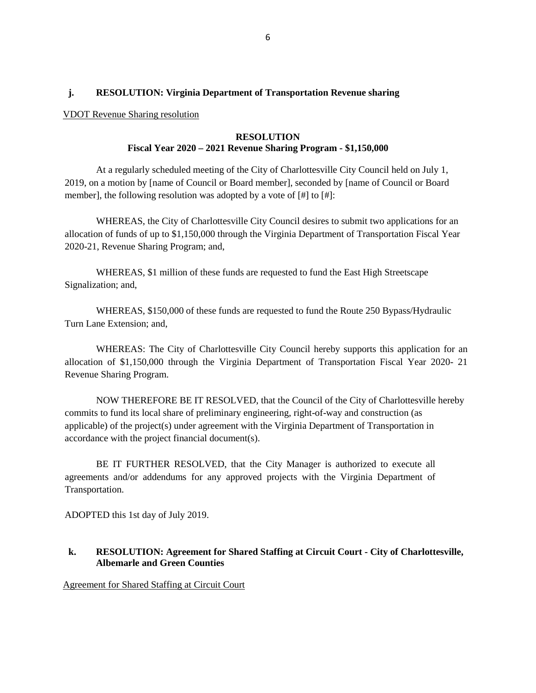## **j. RESOLUTION: Virginia Department of Transportation Revenue sharing**

#### [VDOT Revenue Sharing resolution](http://charlottesville.granicus.com/DocumentViewer.php?file=charlottesville_47ca0b4baec6b8edb54c5e6a19d402b5.pdf)

## **RESOLUTION Fiscal Year 2020 – 2021 Revenue Sharing Program - \$1,150,000**

At a regularly scheduled meeting of the City of Charlottesville City Council held on July 1, 2019, on a motion by [name of Council or Board member], seconded by [name of Council or Board member], the following resolution was adopted by a vote of [#] to [#]:

WHEREAS, the City of Charlottesville City Council desires to submit two applications for an allocation of funds of up to \$1,150,000 through the Virginia Department of Transportation Fiscal Year 2020-21, Revenue Sharing Program; and,

WHEREAS, \$1 million of these funds are requested to fund the East High Streetscape Signalization; and,

WHEREAS, \$150,000 of these funds are requested to fund the Route 250 Bypass/Hydraulic Turn Lane Extension; and,

WHEREAS: The City of Charlottesville City Council hereby supports this application for an allocation of \$1,150,000 through the Virginia Department of Transportation Fiscal Year 2020- 21 Revenue Sharing Program.

NOW THEREFORE BE IT RESOLVED, that the Council of the City of Charlottesville hereby commits to fund its local share of preliminary engineering, right-of-way and construction (as applicable) of the project(s) under agreement with the Virginia Department of Transportation in accordance with the project financial document(s).

BE IT FURTHER RESOLVED, that the City Manager is authorized to execute all agreements and/or addendums for any approved projects with the Virginia Department of Transportation.

ADOPTED this 1st day of July 2019.

## **k. RESOLUTION: Agreement for Shared Staffing at Circuit Court - City of Charlottesville, Albemarle and Green Counties**

[Agreement for Shared Staffing at Circuit Court](http://charlottesville.granicus.com/DocumentViewer.php?file=charlottesville_876ef2a9eb0b5c4e4099c3f27f475dd8.pdf)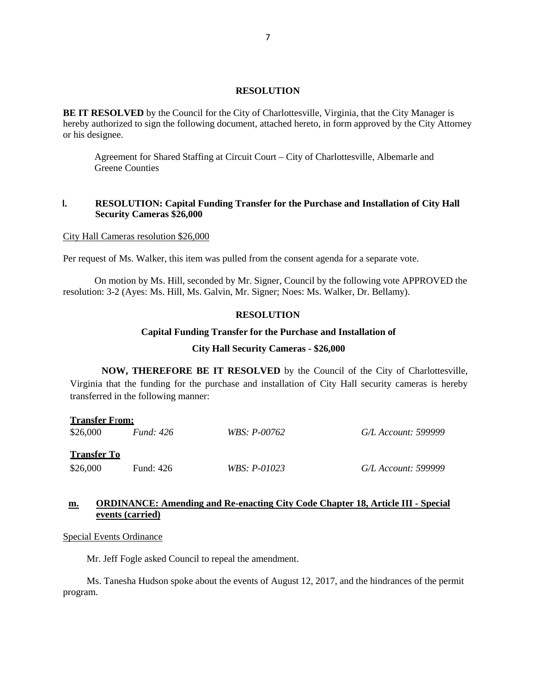#### **RESOLUTION**

**BE IT RESOLVED** by the Council for the City of Charlottesville, Virginia, that the City Manager is hereby authorized to sign the following document, attached hereto, in form approved by the City Attorney or his designee.

Agreement for Shared Staffing at Circuit Court – City of Charlottesville, Albemarle and Greene Counties

## **l. RESOLUTION: Capital Funding Transfer for the Purchase and Installation of City Hall Security Cameras \$26,000**

#### [City Hall Cameras resolution \\$26,000](http://charlottesville.granicus.com/DocumentViewer.php?file=charlottesville_d73b51950b4f0289706d7c7fd75947cb.pdf)

Per request of Ms. Walker, this item was pulled from the consent agenda for a separate vote.

On motion by Ms. Hill, seconded by Mr. Signer, Council by the following vote APPROVED the resolution: 3-2 (Ayes: Ms. Hill, Ms. Galvin, Mr. Signer; Noes: Ms. Walker, Dr. Bellamy).

## **RESOLUTION**

#### **Capital Funding Transfer for the Purchase and Installation of**

#### **City Hall Security Cameras - \$26,000**

**NOW, THEREFORE BE IT RESOLVED** by the Council of the City of Charlottesville, Virginia that the funding for the purchase and installation of City Hall security cameras is hereby transferred in the following manner:

| <b>Transfer From:</b> |                  |                |                     |  |  |  |  |
|-----------------------|------------------|----------------|---------------------|--|--|--|--|
| \$26,000              | <i>Fund:</i> 426 | WBS: P-00762   | G/L Account: 599999 |  |  |  |  |
| <b>Transfer To</b>    |                  |                |                     |  |  |  |  |
| \$26,000              | Fund: 426        | $WBS: P-01023$ | G/L Account: 599999 |  |  |  |  |

## **[m.](http://charlottesville.granicus.com/wordlinkreceiver.php?clip_id=3aa4fb43-4c75-4692-9ca8-496233f2ad7e&meta_id=3fb55cd7-94f3-4d72-a78b-54bd369d508b&time=1961) [ORDINANCE: Amending and Re-enacting City Code Chapter 18, Article III -](http://charlottesville.granicus.com/wordlinkreceiver.php?clip_id=3aa4fb43-4c75-4692-9ca8-496233f2ad7e&meta_id=3fb55cd7-94f3-4d72-a78b-54bd369d508b&time=1961) Special [events \(carried\)](http://charlottesville.granicus.com/wordlinkreceiver.php?clip_id=3aa4fb43-4c75-4692-9ca8-496233f2ad7e&meta_id=3fb55cd7-94f3-4d72-a78b-54bd369d508b&time=1961)**

#### [Special Events Ordinance](http://charlottesville.granicus.com/DocumentViewer.php?file=charlottesville_0e935b96183d7a0c384f77d22e1a6a77.pdf)

Mr. Jeff Fogle asked Council to repeal the amendment.

Ms. Tanesha Hudson spoke about the events of August 12, 2017, and the hindrances of the permit program.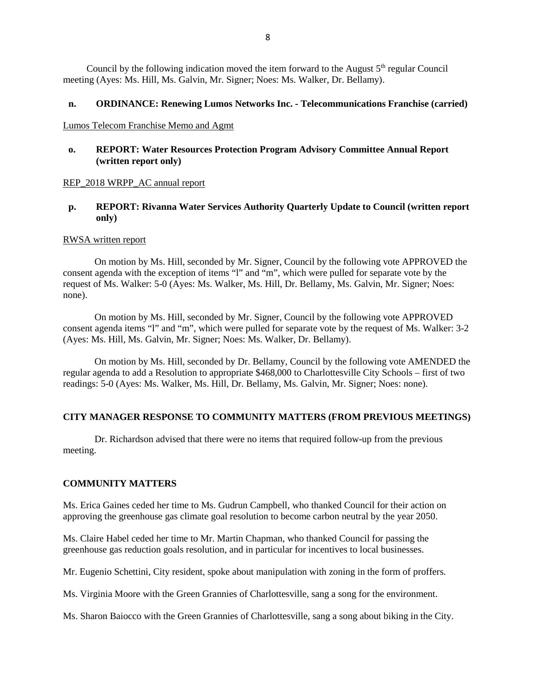Council by the following indication moved the item forward to the August  $5<sup>th</sup>$  regular Council meeting (Ayes: Ms. Hill, Ms. Galvin, Mr. Signer; Noes: Ms. Walker, Dr. Bellamy).

### **n. ORDINANCE: Renewing Lumos Networks Inc. - Telecommunications Franchise (carried)**

### [Lumos Telecom Franchise Memo and Agmt](http://charlottesville.granicus.com/DocumentViewer.php?file=charlottesville_f78486e6bcbb8152480950d392b342ef.pdf)

## **o. REPORT: Water Resources Protection Program Advisory Committee Annual Report (written report only)**

### [REP\\_2018 WRPP\\_AC annual report](http://charlottesville.granicus.com/DocumentViewer.php?file=charlottesville_fec4f421d90cda17a7132f479a5c5066.pdf)

## **p. REPORT: Rivanna Water Services Authority Quarterly Update to Council (written report only)**

### [RWSA written report](http://charlottesville.granicus.com/DocumentViewer.php?file=charlottesville_6845c6bf6616ffedbf0997d1f0e3fe10.pdf)

On motion by Ms. Hill, seconded by Mr. Signer, Council by the following vote APPROVED the consent agenda with the exception of items "l" and "m", which were pulled for separate vote by the request of Ms. Walker: 5-0 (Ayes: Ms. Walker, Ms. Hill, Dr. Bellamy, Ms. Galvin, Mr. Signer; Noes: none).

On motion by Ms. Hill, seconded by Mr. Signer, Council by the following vote APPROVED consent agenda items "l" and "m", which were pulled for separate vote by the request of Ms. Walker: 3-2 (Ayes: Ms. Hill, Ms. Galvin, Mr. Signer; Noes: Ms. Walker, Dr. Bellamy).

On motion by Ms. Hill, seconded by Dr. Bellamy, Council by the following vote AMENDED the regular agenda to add a Resolution to appropriate \$468,000 to Charlottesville City Schools – first of two readings: 5-0 (Ayes: Ms. Walker, Ms. Hill, Dr. Bellamy, Ms. Galvin, Mr. Signer; Noes: none).

### **CITY MANAGER RESPONSE TO COMMUNITY MATTERS (FROM PREVIOUS MEETINGS)**

Dr. Richardson advised that there were no items that required follow-up from the previous meeting.

## **COMMUNITY MATTERS**

Ms. Erica Gaines ceded her time to Ms. Gudrun Campbell, who thanked Council for their action on approving the greenhouse gas climate goal resolution to become carbon neutral by the year 2050.

Ms. Claire Habel ceded her time to Mr. Martin Chapman, who thanked Council for passing the greenhouse gas reduction goals resolution, and in particular for incentives to local businesses.

Mr. Eugenio Schettini, City resident, spoke about manipulation with zoning in the form of proffers.

Ms. Virginia Moore with the Green Grannies of Charlottesville, sang a song for the environment.

Ms. Sharon Baiocco with the Green Grannies of Charlottesville, sang a song about biking in the City.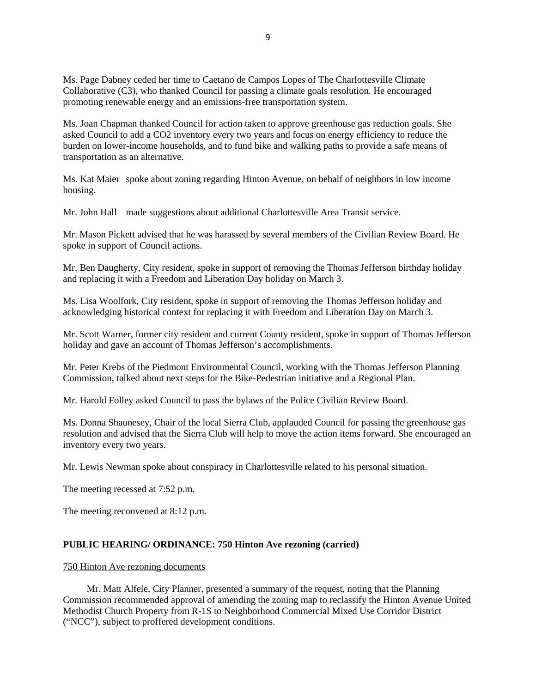Ms. Page Dabney ceded her time to Caetano de Campos Lopes of The Charlottesville Climate Collaborative (C3), who thanked Council for passing a climate goals resolution. He encouraged promoting renewable energy and an emissions-free transportation system.

Ms. Joan Chapman thanked Council for action taken to approve greenhouse gas reduction goals. She asked Council to add a CO2 inventory every two years and focus on energy efficiency to reduce the burden on lower-income households, and to fund bike and walking paths to provide a safe means of transportation as an alternative.

Ms. Kat Maier spoke about zoning regarding Hinton Avenue, on behalf of neighbors in low income housing.

Mr. John Hall made suggestions about additional Charlottesville Area Transit service.

Mr. Mason Pickett advised that he was harassed by several members of the Civilian Review Board. He spoke in support of Council actions.

Mr. Ben Daugherty, City resident, spoke in support of removing the Thomas Jefferson birthday holiday and replacing it with a Freedom and Liberation Day holiday on March 3.

Ms. Lisa Woolfork, City resident, spoke in support of removing the Thomas Jefferson holiday and acknowledging historical context for replacing it with Freedom and Liberation Day on March 3.

Mr. Scott Warner, former city resident and current County resident, spoke in support of Thomas Jefferson holiday and gave an account of Thomas Jefferson's accomplishments.

Mr. Peter Krebs of the Piedmont Environmental Council, working with the Thomas Jefferson Planning Commission, talked about next steps for the Bike-Pedestrian initiative and a Regional Plan.

Mr. Harold Folley asked Council to pass the bylaws of the Police Civilian Review Board.

Ms. Donna Shaunesey, Chair of the local Sierra Club, applauded Council for passing the greenhouse gas resolution and advised that the Sierra Club will help to move the action items forward. She encouraged an inventory every two years.

Mr. Lewis Newman spoke about conspiracy in Charlottesville related to his personal situation.

The meeting recessed at 7:52 p.m.

The meeting reconvened at 8:12 p.m.

### **PUBLIC HEARING/ ORDINANCE: 750 Hinton Ave rezoning (carried)**

### [750 Hinton Ave rezoning documents](http://charlottesville.granicus.com/DocumentViewer.php?file=charlottesville_201425448a1b1b8d95dc5cb7f4ce1fef.pdf)

Mr. Matt Alfele, City Planner, presented a summary of the request, noting that the Planning Commission recommended approval of amending the zoning map to reclassify the Hinton Avenue United Methodist Church Property from R-1S to Neighborhood Commercial Mixed Use Corridor District ("NCC"), subject to proffered development conditions.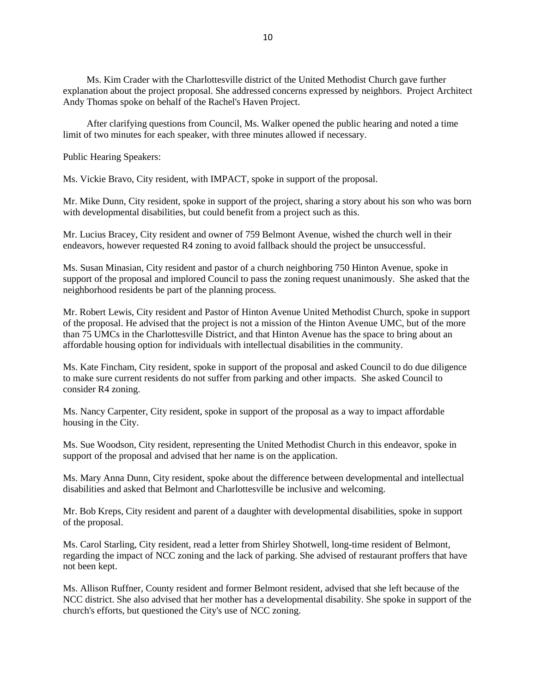Ms. Kim Crader with the Charlottesville district of the United Methodist Church gave further explanation about the project proposal. She addressed concerns expressed by neighbors. Project Architect Andy Thomas spoke on behalf of the Rachel's Haven Project.

After clarifying questions from Council, Ms. Walker opened the public hearing and noted a time limit of two minutes for each speaker, with three minutes allowed if necessary.

Public Hearing Speakers:

Ms. Vickie Bravo, City resident, with IMPACT, spoke in support of the proposal.

Mr. Mike Dunn, City resident, spoke in support of the project, sharing a story about his son who was born with developmental disabilities, but could benefit from a project such as this.

Mr. Lucius Bracey, City resident and owner of 759 Belmont Avenue, wished the church well in their endeavors, however requested R4 zoning to avoid fallback should the project be unsuccessful.

Ms. Susan Minasian, City resident and pastor of a church neighboring 750 Hinton Avenue, spoke in support of the proposal and implored Council to pass the zoning request unanimously. She asked that the neighborhood residents be part of the planning process.

Mr. Robert Lewis, City resident and Pastor of Hinton Avenue United Methodist Church, spoke in support of the proposal. He advised that the project is not a mission of the Hinton Avenue UMC, but of the more than 75 UMCs in the Charlottesville District, and that Hinton Avenue has the space to bring about an affordable housing option for individuals with intellectual disabilities in the community.

Ms. Kate Fincham, City resident, spoke in support of the proposal and asked Council to do due diligence to make sure current residents do not suffer from parking and other impacts. She asked Council to consider R4 zoning.

Ms. Nancy Carpenter, City resident, spoke in support of the proposal as a way to impact affordable housing in the City.

Ms. Sue Woodson, City resident, representing the United Methodist Church in this endeavor, spoke in support of the proposal and advised that her name is on the application.

Ms. Mary Anna Dunn, City resident, spoke about the difference between developmental and intellectual disabilities and asked that Belmont and Charlottesville be inclusive and welcoming.

Mr. Bob Kreps, City resident and parent of a daughter with developmental disabilities, spoke in support of the proposal.

Ms. Carol Starling, City resident, read a letter from Shirley Shotwell, long-time resident of Belmont, regarding the impact of NCC zoning and the lack of parking. She advised of restaurant proffers that have not been kept.

Ms. Allison Ruffner, County resident and former Belmont resident, advised that she left because of the NCC district. She also advised that her mother has a developmental disability. She spoke in support of the church's efforts, but questioned the City's use of NCC zoning.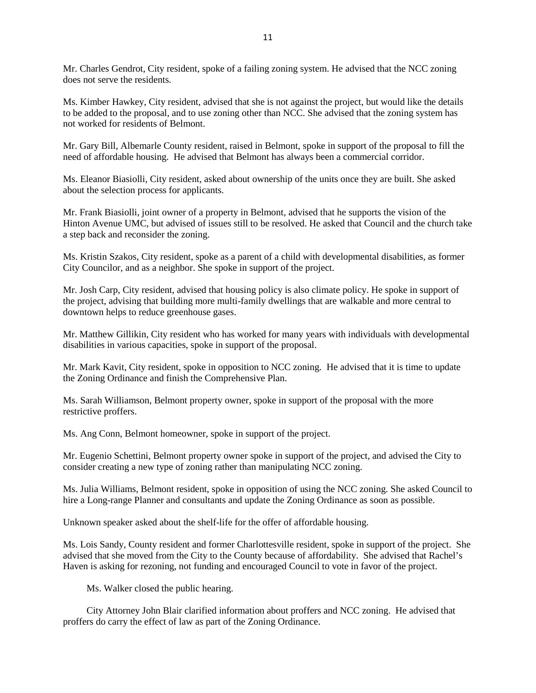Mr. Charles Gendrot, City resident, spoke of a failing zoning system. He advised that the NCC zoning does not serve the residents.

Ms. Kimber Hawkey, City resident, advised that she is not against the project, but would like the details to be added to the proposal, and to use zoning other than NCC. She advised that the zoning system has not worked for residents of Belmont.

Mr. Gary Bill, Albemarle County resident, raised in Belmont, spoke in support of the proposal to fill the need of affordable housing. He advised that Belmont has always been a commercial corridor.

Ms. Eleanor Biasiolli, City resident, asked about ownership of the units once they are built. She asked about the selection process for applicants.

Mr. Frank Biasiolli, joint owner of a property in Belmont, advised that he supports the vision of the Hinton Avenue UMC, but advised of issues still to be resolved. He asked that Council and the church take a step back and reconsider the zoning.

Ms. Kristin Szakos, City resident, spoke as a parent of a child with developmental disabilities, as former City Councilor, and as a neighbor. She spoke in support of the project.

Mr. Josh Carp, City resident, advised that housing policy is also climate policy. He spoke in support of the project, advising that building more multi-family dwellings that are walkable and more central to downtown helps to reduce greenhouse gases.

Mr. Matthew Gillikin, City resident who has worked for many years with individuals with developmental disabilities in various capacities, spoke in support of the proposal.

Mr. Mark Kavit, City resident, spoke in opposition to NCC zoning. He advised that it is time to update the Zoning Ordinance and finish the Comprehensive Plan.

Ms. Sarah Williamson, Belmont property owner, spoke in support of the proposal with the more restrictive proffers.

Ms. Ang Conn, Belmont homeowner, spoke in support of the project.

Mr. Eugenio Schettini, Belmont property owner spoke in support of the project, and advised the City to consider creating a new type of zoning rather than manipulating NCC zoning.

Ms. Julia Williams, Belmont resident, spoke in opposition of using the NCC zoning. She asked Council to hire a Long-range Planner and consultants and update the Zoning Ordinance as soon as possible.

Unknown speaker asked about the shelf-life for the offer of affordable housing.

Ms. Lois Sandy, County resident and former Charlottesville resident, spoke in support of the project. She advised that she moved from the City to the County because of affordability. She advised that Rachel's Haven is asking for rezoning, not funding and encouraged Council to vote in favor of the project.

Ms. Walker closed the public hearing.

City Attorney John Blair clarified information about proffers and NCC zoning. He advised that proffers do carry the effect of law as part of the Zoning Ordinance.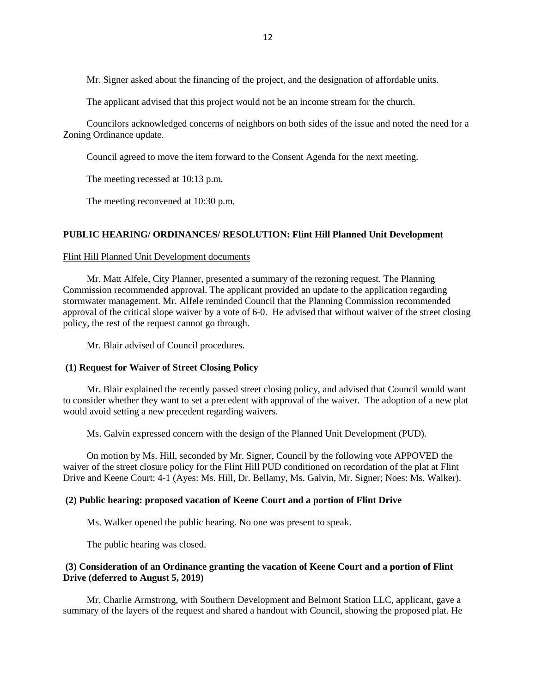Mr. Signer asked about the financing of the project, and the designation of affordable units.

The applicant advised that this project would not be an income stream for the church.

Councilors acknowledged concerns of neighbors on both sides of the issue and noted the need for a Zoning Ordinance update.

Council agreed to move the item forward to the Consent Agenda for the next meeting.

The meeting recessed at 10:13 p.m.

The meeting reconvened at 10:30 p.m.

## **PUBLIC HEARING/ ORDINANCES/ RESOLUTION: Flint Hill Planned Unit Development**

### [Flint Hill Planned Unit Development documents](http://charlottesville.granicus.com/DocumentViewer.php?file=charlottesville_b31f5c90c3d1b1d1da809a4272638c62.pdf)

Mr. Matt Alfele, City Planner, presented a summary of the rezoning request. The Planning Commission recommended approval. The applicant provided an update to the application regarding stormwater management. Mr. Alfele reminded Council that the Planning Commission recommended approval of the critical slope waiver by a vote of 6-0. He advised that without waiver of the street closing policy, the rest of the request cannot go through.

Mr. Blair advised of Council procedures.

### **(1) Request for Waiver of Street Closing Policy**

Mr. Blair explained the recently passed street closing policy, and advised that Council would want to consider whether they want to set a precedent with approval of the waiver. The adoption of a new plat would avoid setting a new precedent regarding waivers.

Ms. Galvin expressed concern with the design of the Planned Unit Development (PUD).

On motion by Ms. Hill, seconded by Mr. Signer, Council by the following vote APPOVED the waiver of the street closure policy for the Flint Hill PUD conditioned on recordation of the plat at Flint Drive and Keene Court: 4-1 (Ayes: Ms. Hill, Dr. Bellamy, Ms. Galvin, Mr. Signer; Noes: Ms. Walker).

## **(2) Public hearing: proposed vacation of Keene Court and a portion of Flint Drive**

Ms. Walker opened the public hearing. No one was present to speak.

The public hearing was closed.

## **(3) Consideration of an Ordinance granting the vacation of Keene Court and a portion of Flint Drive (deferred to August 5, 2019)**

Mr. Charlie Armstrong, with Southern Development and Belmont Station LLC, applicant, gave a summary of the layers of the request and shared a handout with Council, showing the proposed plat. He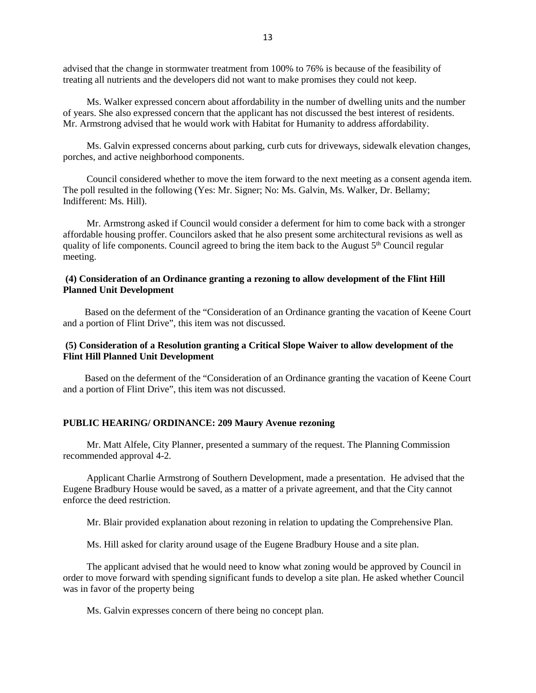advised that the change in stormwater treatment from 100% to 76% is because of the feasibility of treating all nutrients and the developers did not want to make promises they could not keep.

Ms. Walker expressed concern about affordability in the number of dwelling units and the number of years. She also expressed concern that the applicant has not discussed the best interest of residents. Mr. Armstrong advised that he would work with Habitat for Humanity to address affordability.

Ms. Galvin expressed concerns about parking, curb cuts for driveways, sidewalk elevation changes, porches, and active neighborhood components.

Council considered whether to move the item forward to the next meeting as a consent agenda item. The poll resulted in the following (Yes: Mr. Signer; No: Ms. Galvin, Ms. Walker, Dr. Bellamy; Indifferent: Ms. Hill).

Mr. Armstrong asked if Council would consider a deferment for him to come back with a stronger affordable housing proffer. Councilors asked that he also present some architectural revisions as well as quality of life components. Council agreed to bring the item back to the August 5<sup>th</sup> Council regular meeting.

## **(4) Consideration of an Ordinance granting a rezoning to allow development of the Flint Hill Planned Unit Development**

 Based on the deferment of the "Consideration of an Ordinance granting the vacation of Keene Court and a portion of Flint Drive", this item was not discussed.

## **(5) Consideration of a Resolution granting a Critical Slope Waiver to allow development of the Flint Hill Planned Unit Development**

 Based on the deferment of the "Consideration of an Ordinance granting the vacation of Keene Court and a portion of Flint Drive", this item was not discussed.

#### **PUBLIC HEARING/ ORDINANCE: 209 Maury Avenue rezoning**

Mr. Matt Alfele, City Planner, presented a summary of the request. The Planning Commission recommended approval 4-2.

Applicant Charlie Armstrong of Southern Development, made a presentation. He advised that the Eugene Bradbury House would be saved, as a matter of a private agreement, and that the City cannot enforce the deed restriction.

Mr. Blair provided explanation about rezoning in relation to updating the Comprehensive Plan.

Ms. Hill asked for clarity around usage of the Eugene Bradbury House and a site plan.

The applicant advised that he would need to know what zoning would be approved by Council in order to move forward with spending significant funds to develop a site plan. He asked whether Council was in favor of the property being

Ms. Galvin expresses concern of there being no concept plan.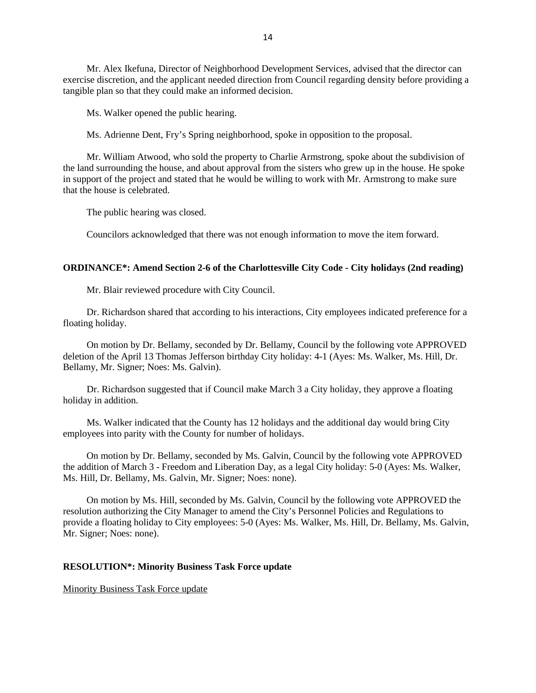Mr. Alex Ikefuna, Director of Neighborhood Development Services, advised that the director can exercise discretion, and the applicant needed direction from Council regarding density before providing a tangible plan so that they could make an informed decision.

Ms. Walker opened the public hearing.

Ms. Adrienne Dent, Fry's Spring neighborhood, spoke in opposition to the proposal.

Mr. William Atwood, who sold the property to Charlie Armstrong, spoke about the subdivision of the land surrounding the house, and about approval from the sisters who grew up in the house. He spoke in support of the project and stated that he would be willing to work with Mr. Armstrong to make sure that the house is celebrated.

The public hearing was closed.

Councilors acknowledged that there was not enough information to move the item forward.

### **ORDINANCE\*: Amend Section 2-6 of the Charlottesville City Code - City holidays (2nd reading)**

Mr. Blair reviewed procedure with City Council.

Dr. Richardson shared that according to his interactions, City employees indicated preference for a floating holiday.

On motion by Dr. Bellamy, seconded by Dr. Bellamy, Council by the following vote APPROVED deletion of the April 13 Thomas Jefferson birthday City holiday: 4-1 (Ayes: Ms. Walker, Ms. Hill, Dr. Bellamy, Mr. Signer; Noes: Ms. Galvin).

Dr. Richardson suggested that if Council make March 3 a City holiday, they approve a floating holiday in addition.

Ms. Walker indicated that the County has 12 holidays and the additional day would bring City employees into parity with the County for number of holidays.

On motion by Dr. Bellamy, seconded by Ms. Galvin, Council by the following vote APPROVED the addition of March 3 - Freedom and Liberation Day, as a legal City holiday: 5-0 (Ayes: Ms. Walker, Ms. Hill, Dr. Bellamy, Ms. Galvin, Mr. Signer; Noes: none).

On motion by Ms. Hill, seconded by Ms. Galvin, Council by the following vote APPROVED the resolution authorizing the City Manager to amend the City's Personnel Policies and Regulations to provide a floating holiday to City employees: 5-0 (Ayes: Ms. Walker, Ms. Hill, Dr. Bellamy, Ms. Galvin, Mr. Signer; Noes: none).

### **RESOLUTION\*: Minority Business Task Force update**

[Minority Business Task Force update](http://charlottesville.granicus.com/DocumentViewer.php?file=charlottesville_4bea79f047c2e607eeb8c37cab2ee372.pdf)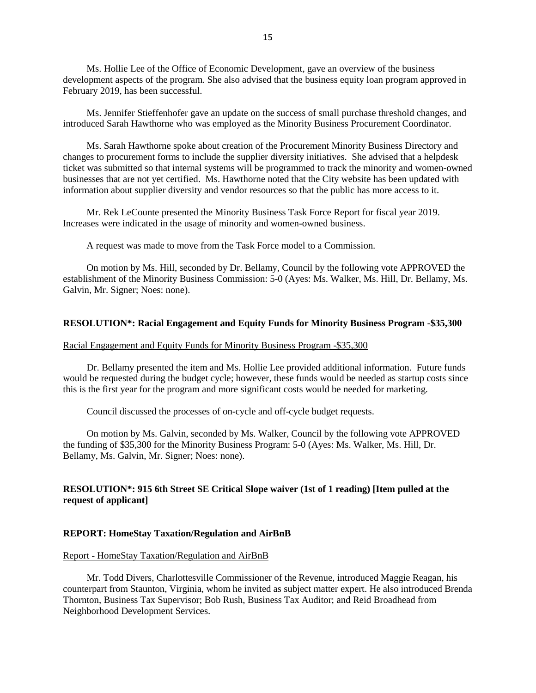Ms. Hollie Lee of the Office of Economic Development, gave an overview of the business development aspects of the program. She also advised that the business equity loan program approved in February 2019, has been successful.

Ms. Jennifer Stieffenhofer gave an update on the success of small purchase threshold changes, and introduced Sarah Hawthorne who was employed as the Minority Business Procurement Coordinator.

Ms. Sarah Hawthorne spoke about creation of the Procurement Minority Business Directory and changes to procurement forms to include the supplier diversity initiatives. She advised that a helpdesk ticket was submitted so that internal systems will be programmed to track the minority and women-owned businesses that are not yet certified. Ms. Hawthorne noted that the City website has been updated with information about supplier diversity and vendor resources so that the public has more access to it.

Mr. Rek LeCounte presented the Minority Business Task Force Report for fiscal year 2019. Increases were indicated in the usage of minority and women-owned business.

A request was made to move from the Task Force model to a Commission.

On motion by Ms. Hill, seconded by Dr. Bellamy, Council by the following vote APPROVED the establishment of the Minority Business Commission: 5-0 (Ayes: Ms. Walker, Ms. Hill, Dr. Bellamy, Ms. Galvin, Mr. Signer; Noes: none).

#### **RESOLUTION\*: Racial Engagement and Equity Funds for Minority Business Program -\$35,300**

#### [Racial Engagement and Equity Funds for Minority Business Program -\\$35,300](http://charlottesville.granicus.com/DocumentViewer.php?file=charlottesville_78686a899931ba604010de7586a0e233.pdf)

Dr. Bellamy presented the item and Ms. Hollie Lee provided additional information. Future funds would be requested during the budget cycle; however, these funds would be needed as startup costs since this is the first year for the program and more significant costs would be needed for marketing.

Council discussed the processes of on-cycle and off-cycle budget requests.

On motion by Ms. Galvin, seconded by Ms. Walker, Council by the following vote APPROVED the funding of \$35,300 for the Minority Business Program: 5-0 (Ayes: Ms. Walker, Ms. Hill, Dr. Bellamy, Ms. Galvin, Mr. Signer; Noes: none).

## **RESOLUTION\*: 915 6th Street SE Critical Slope waiver (1st of 1 reading) [Item pulled at the request of applicant]**

## **REPORT: HomeStay Taxation/Regulation and AirBnB**

#### Report - [HomeStay Taxation/Regulation and AirBnB](http://charlottesville.granicus.com/DocumentViewer.php?file=charlottesville_d996f5ea2d4fe83ed91f0f640821bbd1.pdf)

Mr. Todd Divers, Charlottesville Commissioner of the Revenue, introduced Maggie Reagan, his counterpart from Staunton, Virginia, whom he invited as subject matter expert. He also introduced Brenda Thornton, Business Tax Supervisor; Bob Rush, Business Tax Auditor; and Reid Broadhead from Neighborhood Development Services.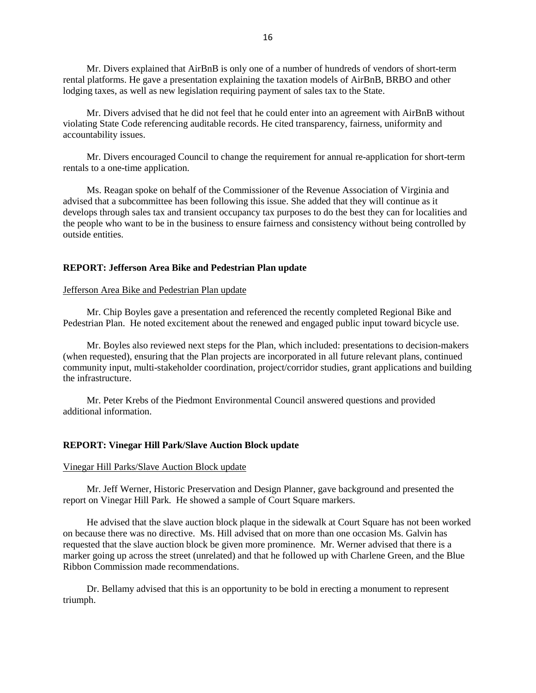Mr. Divers explained that AirBnB is only one of a number of hundreds of vendors of short-term rental platforms. He gave a presentation explaining the taxation models of AirBnB, BRBO and other lodging taxes, as well as new legislation requiring payment of sales tax to the State.

Mr. Divers advised that he did not feel that he could enter into an agreement with AirBnB without violating State Code referencing auditable records. He cited transparency, fairness, uniformity and accountability issues.

Mr. Divers encouraged Council to change the requirement for annual re-application for short-term rentals to a one-time application.

Ms. Reagan spoke on behalf of the Commissioner of the Revenue Association of Virginia and advised that a subcommittee has been following this issue. She added that they will continue as it develops through sales tax and transient occupancy tax purposes to do the best they can for localities and the people who want to be in the business to ensure fairness and consistency without being controlled by outside entities.

#### **REPORT: Jefferson Area Bike and Pedestrian Plan update**

#### [Jefferson Area Bike and Pedestrian Plan update](http://charlottesville.granicus.com/DocumentViewer.php?file=charlottesville_227100af36acd73e57b03dca271c95d0.pdf)

Mr. Chip Boyles gave a presentation and referenced the recently completed Regional Bike and Pedestrian Plan. He noted excitement about the renewed and engaged public input toward bicycle use.

Mr. Boyles also reviewed next steps for the Plan, which included: presentations to decision-makers (when requested), ensuring that the Plan projects are incorporated in all future relevant plans, continued community input, multi-stakeholder coordination, project/corridor studies, grant applications and building the infrastructure.

Mr. Peter Krebs of the Piedmont Environmental Council answered questions and provided additional information.

#### **REPORT: Vinegar Hill Park/Slave Auction Block update**

#### [Vinegar Hill Parks/Slave Auction Block update](http://charlottesville.granicus.com/DocumentViewer.php?file=charlottesville_e8379dfead8714425c7e1bcc032f3622.pdf)

Mr. Jeff Werner, Historic Preservation and Design Planner, gave background and presented the report on Vinegar Hill Park. He showed a sample of Court Square markers.

He advised that the slave auction block plaque in the sidewalk at Court Square has not been worked on because there was no directive. Ms. Hill advised that on more than one occasion Ms. Galvin has requested that the slave auction block be given more prominence. Mr. Werner advised that there is a marker going up across the street (unrelated) and that he followed up with Charlene Green, and the Blue Ribbon Commission made recommendations.

Dr. Bellamy advised that this is an opportunity to be bold in erecting a monument to represent triumph.